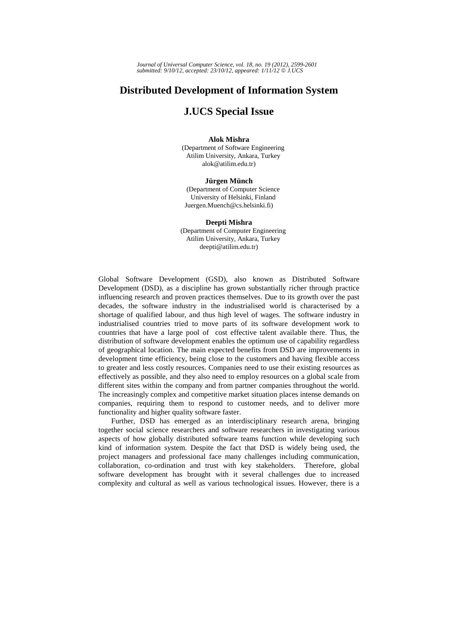*Journal of Universal Computer Science, vol. 18, no. 19 (2012), 2599-2601 submitted: 9/10/12, accepted: 23/10/12, appeared: 1/11/12* © *J.UCS*

## **Distributed Development of Information System**

## **J.UCS Special Issue**

## **Alok Mishra**

(Department of Software Engineering Atilim University, Ankara, Turkey alok@atilim.edu.tr)

## **Jürgen Münch**

(Department of Computer Science University of Helsinki, Finland Juergen.Muench@cs.helsinki.fi)

**Deepti Mishra**  (Department of Computer Engineering Atilim University, Ankara, Turkey deepti@atilim.edu.tr)

Global Software Development (GSD), also known as Distributed Software Development (DSD), as a discipline has grown substantially richer through practice influencing research and proven practices themselves. Due to its growth over the past decades, the software industry in the industrialised world is characterised by a shortage of qualified labour, and thus high level of wages. The software industry in industrialised countries tried to move parts of its software development work to countries that have a large pool of cost effective talent available there. Thus, the distribution of software development enables the optimum use of capability regardless of geographical location. The main expected benefits from DSD are improvements in development time efficiency, being close to the customers and having flexible access to greater and less costly resources. Companies need to use their existing resources as effectively as possible, and they also need to employ resources on a global scale from different sites within the company and from partner companies throughout the world. The increasingly complex and competitive market situation places intense demands on companies, requiring them to respond to customer needs, and to deliver more functionality and higher quality software faster.

Further, DSD has emerged as an interdisciplinary research arena, bringing together social science researchers and software researchers in investigating various aspects of how globally distributed software teams function while developing such kind of information system. Despite the fact that DSD is widely being used, the project managers and professional face many challenges including communication, collaboration, co-ordination and trust with key stakeholders. Therefore, global software development has brought with it several challenges due to increased complexity and cultural as well as various technological issues. However, there is a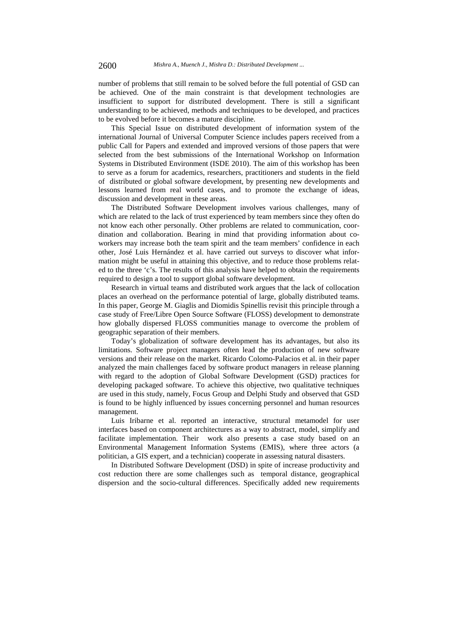number of problems that still remain to be solved before the full potential of GSD can be achieved. One of the main constraint is that development technologies are insufficient to support for distributed development. There is still a significant understanding to be achieved, methods and techniques to be developed, and practices to be evolved before it becomes a mature discipline.

This Special Issue on distributed development of information system of the international Journal of Universal Computer Science includes papers received from a public Call for Papers and extended and improved versions of those papers that were selected from the best submissions of the International Workshop on Information Systems in Distributed Environment (ISDE 2010). The aim of this workshop has been to serve as a forum for academics, researchers, practitioners and students in the field of distributed or global software development, by presenting new developments and lessons learned from real world cases, and to promote the exchange of ideas, discussion and development in these areas.

The Distributed Software Development involves various challenges, many of which are related to the lack of trust experienced by team members since they often do not know each other personally. Other problems are related to communication, coordination and collaboration. Bearing in mind that providing information about coworkers may increase both the team spirit and the team members' confidence in each other, José Luis Hernández et al. have carried out surveys to discover what information might be useful in attaining this objective, and to reduce those problems related to the three 'c's. The results of this analysis have helped to obtain the requirements required to design a tool to support global software development.

Research in virtual teams and distributed work argues that the lack of collocation places an overhead on the performance potential of large, globally distributed teams. In this paper, George M. Giaglis and Diomidis Spinellis revisit this principle through a case study of Free/Libre Open Source Software (FLOSS) development to demonstrate how globally dispersed FLOSS communities manage to overcome the problem of geographic separation of their members.

Today's globalization of software development has its advantages, but also its limitations. Software project managers often lead the production of new software versions and their release on the market. Ricardo Colomo-Palacios et al. in their paper analyzed the main challenges faced by software product managers in release planning with regard to the adoption of Global Software Development (GSD) practices for developing packaged software. To achieve this objective, two qualitative techniques are used in this study, namely, Focus Group and Delphi Study and observed that GSD is found to be highly influenced by issues concerning personnel and human resources management.

Luis Iribarne et al. reported an interactive, structural metamodel for user interfaces based on component architectures as a way to abstract, model, simplify and facilitate implementation. Their work also presents a case study based on an Environmental Management Information Systems (EMIS), where three actors (a politician, a GIS expert, and a technician) cooperate in assessing natural disasters.

In Distributed Software Development (DSD) in spite of increase productivity and cost reduction there are some challenges such as temporal distance, geographical dispersion and the socio-cultural differences. Specifically added new requirements